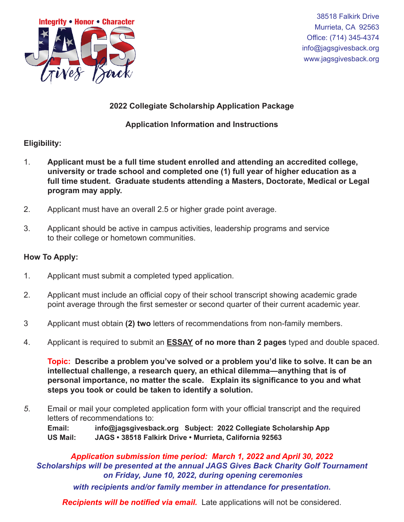

38518 Falkirk Drive Murrieta, CA 92563 Office: (714) 345-4374 info@jagsgivesback.org www.jagsgivesback.org

# **2022 Collegiate Scholarship Application Package**

## **Application Information and Instructions**

### **Eligibility:**

- 1. **Applicant must be a full time student enrolled and attending an accredited college, university or trade school and completed one (1) full year of higher education as a full time student. Graduate students attending a Masters, Doctorate, Medical or Legal program may apply.**
- 2. Applicant must have an overall 2.5 or higher grade point average.
- 3. Applicant should be active in campus activities, leadership programs and service to their college or hometown communities.

### **How To Apply:**

- 1. Applicant must submit a completed typed application.
- 2. Applicant must include an official copy of their school transcript showing academic grade point average through the first semester or second quarter of their current academic year.
- 3 Applicant must obtain **(2) two** letters of recommendations from non-family members.
- 4. Applicant is required to submit an **ESSAY of no more than 2 pages** typed and double spaced.

**Topic: Describe a problem you've solved or a problem you'd like to solve. It can be an intellectual challenge, a research query, an ethical dilemma—anything that is of personal importance, no matter the scale. Explain its significance to you and what steps you took or could be taken to identify a solution.**

*5*. Email or mail your completed application form with your official transcript and the required letters of recommendations to:

**Email: info@jagsgivesback.org Subject: 2022 Collegiate Scholarship App US Mail: JAGS • 38518 Falkirk Drive • Murrieta, California 92563** 

*Application submission time period: March 1, 2022 and April 30, 2022 Scholarships will be presented at the annual JAGS Gives Back Charity Golf Tournament on Friday, June 10, 2022, during opening ceremonies with recipients and/or family member in attendance for presentation.*

*Recipients will be notified via email.* Late applications will not be considered.